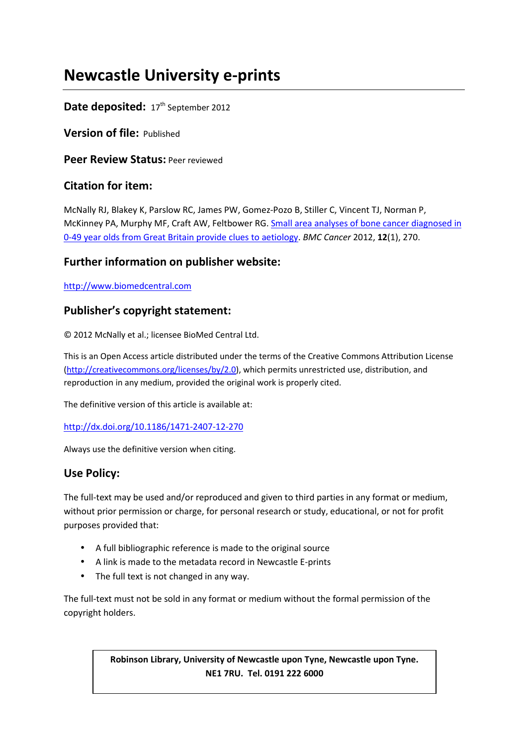# **Newcastle University e-prints**

# Date deposited: 17<sup>th</sup> September 2012

**Version of file:** Published

**Peer Review Status:** Peer reviewed

# **Citation for item:**

McNally RJ, Blakey K, Parslow RC, James PW, Gomez-Pozo B, Stiller C, Vincent TJ, Norman P, McKinney PA, Murphy MF, Craft AW, Feltbower RG. Small area analyses of bone cancer diagnosed in 0-49 year olds from Great Britain provide clues to aetiology. *BMC Cancer* 2012, **12**(1), 270.

# **Further information on publisher website:**

http://www.biomedcentral.com

# **Publisher's copyright statement:**

© 2012 McNally et al.; licensee BioMed Central Ltd.

This is an Open Access article distributed under the terms of the Creative Commons Attribution License (http://creativecommons.org/licenses/by/2.0), which permits unrestricted use, distribution, and reproduction in any medium, provided the original work is properly cited.

The definitive version of this article is available at:

## http://dx.doi.org/10.1186/1471-2407-12-270

Always use the definitive version when citing.

## **Use Policy:**

The full-text may be used and/or reproduced and given to third parties in any format or medium, without prior permission or charge, for personal research or study, educational, or not for profit purposes provided that:

- A full bibliographic reference is made to the original source
- A link is made to the metadata record in Newcastle E-prints
- The full text is not changed in any way.

The full-text must not be sold in any format or medium without the formal permission of the copyright holders.

> **Robinson Library, University of Newcastle upon Tyne, Newcastle upon Tyne. NE1 7RU. Tel. 0191 222 6000**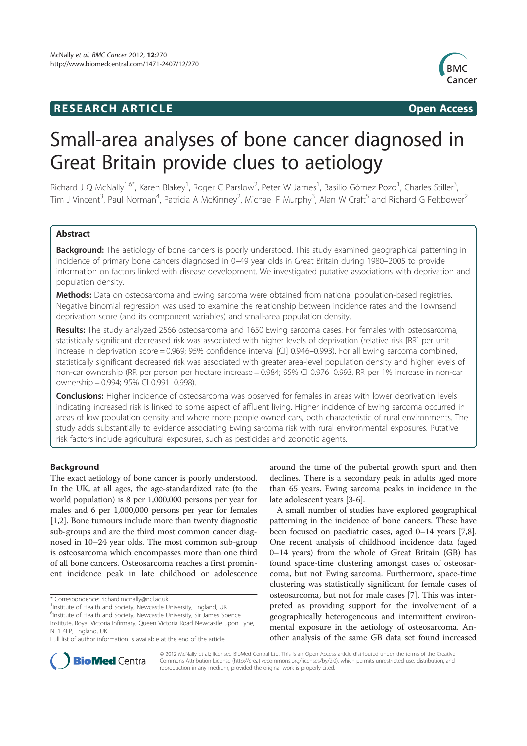# **RESEARCH ARTICLE Example 2014 CONSIDERING CONSIDERING CONSIDERING CONSIDERING CONSIDERING CONSIDERING CONSIDERING CONSIDERING CONSIDERING CONSIDERING CONSIDERING CONSIDERING CONSIDERING CONSIDERING CONSIDERING CONSIDE**



# Small-area analyses of bone cancer diagnosed in Great Britain provide clues to aetiology

Richard J Q McNally<sup>1,6\*</sup>, Karen Blakey<sup>1</sup>, Roger C Parslow<sup>2</sup>, Peter W James<sup>1</sup>, Basilio Gómez Pozo<sup>1</sup>, Charles Stiller<sup>3</sup> , Tim J Vincent<sup>3</sup>, Paul Norman<sup>4</sup>, Patricia A McKinney<sup>2</sup>, Michael F Murphy<sup>3</sup>, Alan W Craft<sup>5</sup> and Richard G Feltbower<sup>2</sup>

## Abstract

Background: The aetiology of bone cancers is poorly understood. This study examined geographical patterning in incidence of primary bone cancers diagnosed in 0–49 year olds in Great Britain during 1980–2005 to provide information on factors linked with disease development. We investigated putative associations with deprivation and population density.

Methods: Data on osteosarcoma and Ewing sarcoma were obtained from national population-based registries. Negative binomial regression was used to examine the relationship between incidence rates and the Townsend deprivation score (and its component variables) and small-area population density.

Results: The study analyzed 2566 osteosarcoma and 1650 Ewing sarcoma cases. For females with osteosarcoma, statistically significant decreased risk was associated with higher levels of deprivation (relative risk [RR] per unit increase in deprivation score = 0.969; 95% confidence interval [CI] 0.946–0.993). For all Ewing sarcoma combined, statistically significant decreased risk was associated with greater area-level population density and higher levels of non-car ownership (RR per person per hectare increase = 0.984; 95% CI 0.976–0.993, RR per 1% increase in non-car ownership = 0.994; 95% CI 0.991–0.998).

Conclusions: Higher incidence of osteosarcoma was observed for females in areas with lower deprivation levels indicating increased risk is linked to some aspect of affluent living. Higher incidence of Ewing sarcoma occurred in areas of low population density and where more people owned cars, both characteristic of rural environments. The study adds substantially to evidence associating Ewing sarcoma risk with rural environmental exposures. Putative risk factors include agricultural exposures, such as pesticides and zoonotic agents.

## Background

The exact aetiology of bone cancer is poorly understood. In the UK, at all ages, the age-standardized rate (to the world population) is 8 per 1,000,000 persons per year for males and 6 per 1,000,000 persons per year for females [1,2]. Bone tumours include more than twenty diagnostic sub-groups and are the third most common cancer diagnosed in 10–24 year olds. The most common sub-group is osteosarcoma which encompasses more than one third of all bone cancers. Osteosarcoma reaches a first prominent incidence peak in late childhood or adolescence

<sup>1</sup>Institute of Health and Society, Newcastle University, England, UK

around the time of the pubertal growth spurt and then declines. There is a secondary peak in adults aged more than 65 years. Ewing sarcoma peaks in incidence in the late adolescent years [3-6].

A small number of studies have explored geographical patterning in the incidence of bone cancers. These have been focused on paediatric cases, aged 0–14 years [7,8]. One recent analysis of childhood incidence data (aged 0–14 years) from the whole of Great Britain (GB) has found space-time clustering amongst cases of osteosarcoma, but not Ewing sarcoma. Furthermore, space-time clustering was statistically significant for female cases of osteosarcoma, but not for male cases [7]. This was interpreted as providing support for the involvement of a geographically heterogeneous and intermittent environmental exposure in the aetiology of osteosarcoma. Another analysis of the same GB data set found increased



© 2012 McNally et al.; licensee BioMed Central Ltd. This is an Open Access article distributed under the terms of the Creative Commons Attribution License (http://creativecommons.org/licenses/by/2.0), which permits unrestricted use, distribution, and reproduction in any medium, provided the original work is properly cited.

<sup>\*</sup> Correspondence: richard.mcnally@ncl.ac.uk

<sup>&</sup>lt;sup>6</sup>Institute of Health and Society, Newcastle University, Sir James Spence Institute, Royal Victoria Infirmary, Queen Victoria Road Newcastle upon Tyne, NE1 4LP, England, UK

Full list of author information is available at the end of the article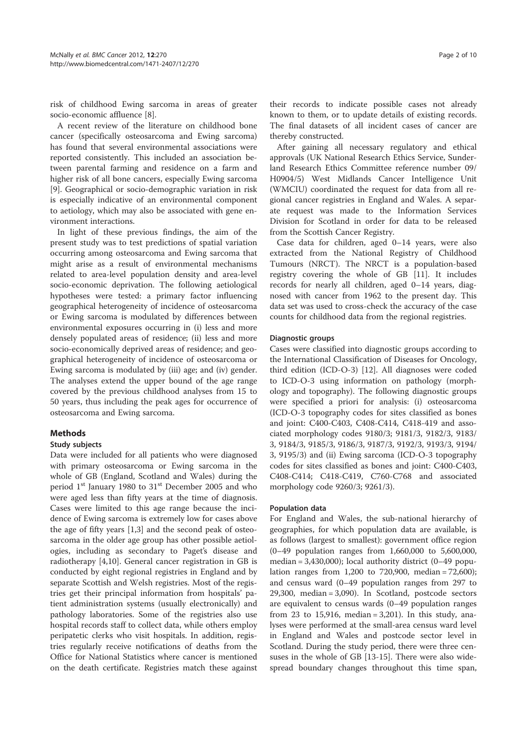risk of childhood Ewing sarcoma in areas of greater socio-economic affluence [8].

A recent review of the literature on childhood bone cancer (specifically osteosarcoma and Ewing sarcoma) has found that several environmental associations were reported consistently. This included an association between parental farming and residence on a farm and higher risk of all bone cancers, especially Ewing sarcoma [9]. Geographical or socio-demographic variation in risk is especially indicative of an environmental component to aetiology, which may also be associated with gene environment interactions.

In light of these previous findings, the aim of the present study was to test predictions of spatial variation occurring among osteosarcoma and Ewing sarcoma that might arise as a result of environmental mechanisms related to area-level population density and area-level socio-economic deprivation. The following aetiological hypotheses were tested: a primary factor influencing geographical heterogeneity of incidence of osteosarcoma or Ewing sarcoma is modulated by differences between environmental exposures occurring in (i) less and more densely populated areas of residence; (ii) less and more socio-economically deprived areas of residence; and geographical heterogeneity of incidence of osteosarcoma or Ewing sarcoma is modulated by (iii) age; and (iv) gender. The analyses extend the upper bound of the age range covered by the previous childhood analyses from 15 to 50 years, thus including the peak ages for occurrence of osteosarcoma and Ewing sarcoma.

## Methods

#### Study subjects

Data were included for all patients who were diagnosed with primary osteosarcoma or Ewing sarcoma in the whole of GB (England, Scotland and Wales) during the period 1<sup>st</sup> January 1980 to 31<sup>st</sup> December 2005 and who were aged less than fifty years at the time of diagnosis. Cases were limited to this age range because the incidence of Ewing sarcoma is extremely low for cases above the age of fifty years [1,3] and the second peak of osteosarcoma in the older age group has other possible aetiologies, including as secondary to Paget's disease and radiotherapy [4,10]. General cancer registration in GB is conducted by eight regional registries in England and by separate Scottish and Welsh registries. Most of the registries get their principal information from hospitals' patient administration systems (usually electronically) and pathology laboratories. Some of the registries also use hospital records staff to collect data, while others employ peripatetic clerks who visit hospitals. In addition, registries regularly receive notifications of deaths from the Office for National Statistics where cancer is mentioned on the death certificate. Registries match these against

their records to indicate possible cases not already known to them, or to update details of existing records. The final datasets of all incident cases of cancer are thereby constructed.

After gaining all necessary regulatory and ethical approvals (UK National Research Ethics Service, Sunderland Research Ethics Committee reference number 09/ H0904/5) West Midlands Cancer Intelligence Unit (WMCIU) coordinated the request for data from all regional cancer registries in England and Wales. A separate request was made to the Information Services Division for Scotland in order for data to be released from the Scottish Cancer Registry.

Case data for children, aged 0–14 years, were also extracted from the National Registry of Childhood Tumours (NRCT). The NRCT is a population-based registry covering the whole of GB [11]. It includes records for nearly all children, aged 0–14 years, diagnosed with cancer from 1962 to the present day. This data set was used to cross-check the accuracy of the case counts for childhood data from the regional registries.

#### Diagnostic groups

Cases were classified into diagnostic groups according to the International Classification of Diseases for Oncology, third edition (ICD-O-3) [12]. All diagnoses were coded to ICD-O-3 using information on pathology (morphology and topography). The following diagnostic groups were specified a priori for analysis: (i) osteosarcoma (ICD-O-3 topography codes for sites classified as bones and joint: C400-C403, C408-C414, C418-419 and associated morphology codes 9180/3; 9181/3, 9182/3, 9183/ 3, 9184/3, 9185/3, 9186/3, 9187/3, 9192/3, 9193/3, 9194/ 3, 9195/3) and (ii) Ewing sarcoma (ICD-O-3 topography codes for sites classified as bones and joint: C400-C403, C408-C414; C418-C419, C760-C768 and associated morphology code 9260/3; 9261/3).

### Population data

For England and Wales, the sub-national hierarchy of geographies, for which population data are available, is as follows (largest to smallest): government office region (0–49 population ranges from 1,660,000 to 5,600,000, median =  $3,430,000$ ); local authority district (0-49 population ranges from 1,200 to 720,900, median = 72,600); and census ward (0–49 population ranges from 297 to 29,300, median = 3,090). In Scotland, postcode sectors are equivalent to census wards (0–49 population ranges from 23 to 15,916, median = 3,201). In this study, analyses were performed at the small-area census ward level in England and Wales and postcode sector level in Scotland. During the study period, there were three censuses in the whole of GB [13-15]. There were also widespread boundary changes throughout this time span,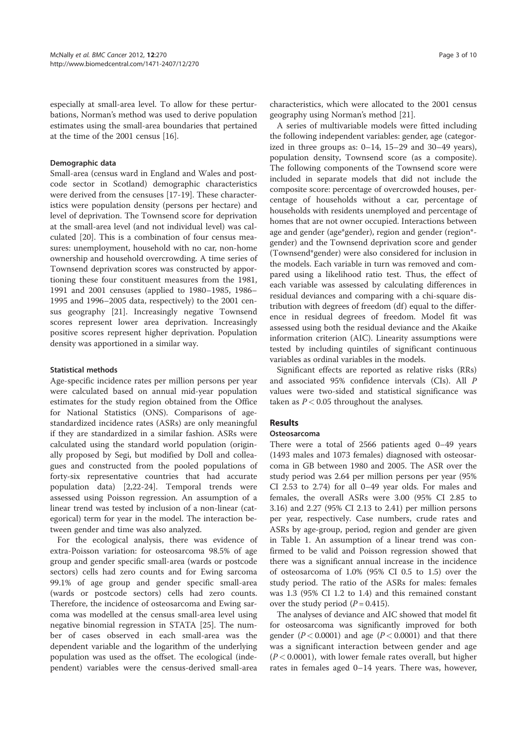especially at small-area level. To allow for these perturbations, Norman's method was used to derive population estimates using the small-area boundaries that pertained at the time of the 2001 census [16].

### Demographic data

Small-area (census ward in England and Wales and postcode sector in Scotland) demographic characteristics were derived from the censuses [17-19]. These characteristics were population density (persons per hectare) and level of deprivation. The Townsend score for deprivation at the small-area level (and not individual level) was calculated [20]. This is a combination of four census measures: unemployment, household with no car, non-home ownership and household overcrowding. A time series of Townsend deprivation scores was constructed by apportioning these four constituent measures from the 1981, 1991 and 2001 censuses (applied to 1980–1985, 1986– 1995 and 1996–2005 data, respectively) to the 2001 census geography [21]. Increasingly negative Townsend scores represent lower area deprivation. Increasingly positive scores represent higher deprivation. Population density was apportioned in a similar way.

#### Statistical methods

Age-specific incidence rates per million persons per year were calculated based on annual mid-year population estimates for the study region obtained from the Office for National Statistics (ONS). Comparisons of agestandardized incidence rates (ASRs) are only meaningful if they are standardized in a similar fashion. ASRs were calculated using the standard world population (originally proposed by Segi, but modified by Doll and colleagues and constructed from the pooled populations of forty-six representative countries that had accurate population data) [2,22-24]. Temporal trends were assessed using Poisson regression. An assumption of a linear trend was tested by inclusion of a non-linear (categorical) term for year in the model. The interaction between gender and time was also analyzed.

For the ecological analysis, there was evidence of extra-Poisson variation: for osteosarcoma 98.5% of age group and gender specific small-area (wards or postcode sectors) cells had zero counts and for Ewing sarcoma 99.1% of age group and gender specific small-area (wards or postcode sectors) cells had zero counts. Therefore, the incidence of osteosarcoma and Ewing sarcoma was modelled at the census small-area level using negative binomial regression in STATA [25]. The number of cases observed in each small-area was the dependent variable and the logarithm of the underlying population was used as the offset. The ecological (independent) variables were the census-derived small-area

characteristics, which were allocated to the 2001 census geography using Norman's method [21].

A series of multivariable models were fitted including the following independent variables: gender, age (categorized in three groups as:  $0-14$ ,  $15-29$  and  $30-49$  years), population density, Townsend score (as a composite). The following components of the Townsend score were included in separate models that did not include the composite score: percentage of overcrowded houses, percentage of households without a car, percentage of households with residents unemployed and percentage of homes that are not owner occupied. Interactions between age and gender (age\*gender), region and gender (region\* gender) and the Townsend deprivation score and gender (Townsend\*gender) were also considered for inclusion in the models. Each variable in turn was removed and compared using a likelihood ratio test. Thus, the effect of each variable was assessed by calculating differences in residual deviances and comparing with a chi-square distribution with degrees of freedom (df) equal to the difference in residual degrees of freedom. Model fit was assessed using both the residual deviance and the Akaike information criterion (AIC). Linearity assumptions were tested by including quintiles of significant continuous variables as ordinal variables in the models.

Significant effects are reported as relative risks (RRs) and associated 95% confidence intervals (CIs). All P values were two-sided and statistical significance was taken as  $P < 0.05$  throughout the analyses.

## Results

#### Osteosarcoma

There were a total of 2566 patients aged 0–49 years (1493 males and 1073 females) diagnosed with osteosarcoma in GB between 1980 and 2005. The ASR over the study period was 2.64 per million persons per year (95% CI 2.53 to 2.74) for all 0–49 year olds. For males and females, the overall ASRs were 3.00 (95% CI 2.85 to 3.16) and 2.27 (95% CI 2.13 to 2.41) per million persons per year, respectively. Case numbers, crude rates and ASRs by age-group, period, region and gender are given in Table 1. An assumption of a linear trend was confirmed to be valid and Poisson regression showed that there was a significant annual increase in the incidence of osteosarcoma of 1.0% (95% CI 0.5 to 1.5) over the study period. The ratio of the ASRs for males: females was 1.3 (95% CI 1.2 to 1.4) and this remained constant over the study period  $(P = 0.415)$ .

The analyses of deviance and AIC showed that model fit for osteosarcoma was significantly improved for both gender ( $P < 0.0001$ ) and age ( $P < 0.0001$ ) and that there was a significant interaction between gender and age  $(P < 0.0001)$ , with lower female rates overall, but higher rates in females aged 0–14 years. There was, however,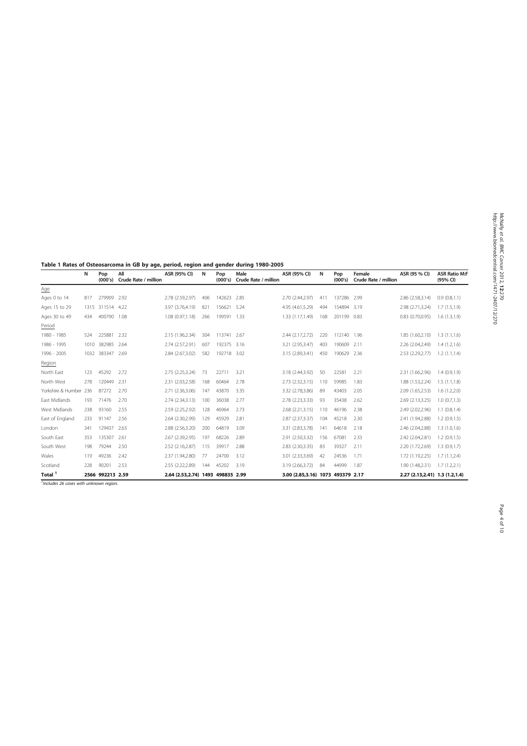Table 1 Rates of Osteosarcoma in GB by age, period, region and gender during 1980-2005

|                    | N    | Pop<br>(000's)   | All<br>Crude Rate / million | ASR (95% CI)          | N   | Pop<br>(000's) | Male<br>Crude Rate / million | ASR (95% CI)     | N    | Pop<br>(000's) | Female<br>Crude Rate / million | ASR (95 % CI)                  | <b>ASR Ratio M:F</b><br>(95% CI) |
|--------------------|------|------------------|-----------------------------|-----------------------|-----|----------------|------------------------------|------------------|------|----------------|--------------------------------|--------------------------------|----------------------------------|
| Age                |      |                  |                             |                       |     |                |                              |                  |      |                |                                |                                |                                  |
| Ages 0 to 14       | 817  | 279909           | 2.92                        | 2.78 (2.59,2.97)      | 406 | 142623         | 2.85                         | 2.70 (2.44,2.97) | 411  | 137286         | 2.99                           | 2.86 (2.58,3.14)               | 0.9(0.8,1.1)                     |
| Ages 15 to 29      | 1315 | 311514           | 4.22                        | 3.97 (3.76,4.19)      | 821 | 156621         | 5.24                         | 4.95 (4.61,5.29) | 494  | 154894         | 3.19                           | 2.98 (2.71,3.24)               | 1.7(1.5,1.9)                     |
| Ages 30 to 49      | 434  | 400790           | 1.08                        | 1.08 (0.97,1.18)      | 266 | 199591         | 1.33                         | 1.33 (1.17,1.49) | 168  | 201199         | 0.83                           | $0.83$ $(0.70, 0.95)$          | 1.6(1.3,1.9)                     |
| Period             |      |                  |                             |                       |     |                |                              |                  |      |                |                                |                                |                                  |
| 1980 - 1985        | 524  | 225881           | 2.32                        | 2.15 (1.96,2.34)      | 304 | 113741 2.67    |                              | 2.44 (2.17,2.72) | 220  | 112140         | 1.96                           | 1.85 (1.60,2.10)               | 1.3(1.1.1.6)                     |
| 1986 - 1995        | 1010 | 382985           | 2.64                        | 2.74 (2.57,2.91)      | 607 | 192375         | 3.16                         | 3.21 (2.95,3.47) | 403  | 190609         | 2.11                           | 2.26 (2.04,2.49)               | 1.4(1.2,1.6)                     |
| 1996 - 2005        | 1032 | 383347           | 2.69                        | 2.84 (2.67,3.02)      | 582 | 192718 3.02    |                              | 3.15 (2.89,3.41) | 450  | 190629         | 2.36                           | 2.53 (2.29, 2.77)              | 1.2(1.1, 1.4)                    |
| Region             |      |                  |                             |                       |     |                |                              |                  |      |                |                                |                                |                                  |
| North East         | 123  | 45292            | 2.72                        | 2.75 (2.25.3.24)      | 73  | 22711          | 3.21                         | 3.18 (2.44.3.92) | 50   | 22581          | 2.21                           | 2.31 (1.66.2.96)               | 1.4(0.9.1.9)                     |
| North West         | 278  | 120449           | 2.31                        | 2.31 (2.03.2.58)      | 168 | 60464          | 2.78                         | 2.73 (2.32,3.15) | 110  | 59985          | 1.83                           | 1.88 (1.53,2.24)               | 1.5(1.1, 1.8)                    |
| Yorkshire & Humber | 236  | 87272            | 2.70                        | 2.71 (2.36,3.06)      | 147 | 43870          | 3.35                         | 3.32 (2.78,3.86) | 89   | 43403          | 2.05                           | 2.09 (1.65,2.53)               | 1.6(1.2,2.0)                     |
| East Midlands      | 193  | 71476            | 2.70                        | 2.74 (2.34,3.13)      | 100 | 36038          | 2.77                         | 2.78 (2.23,3.33) | 93   | 35438          | 2.62                           | 2.69 (2.13,3.25)               | 1.0(0.7,1.3)                     |
| West Midlands      | 238  | 93160            | 2.55                        | 2.59 (2.25, 2.92)     | 128 | 46964          | 2.73                         | 2.68 (2.21,3.15) | 110  | 46196          | 2.38                           | 2.49 (2.02,2.96)               | $1.1$ $(0.8, 1.4)$               |
| East of England    | 233  | 91147            | 2.56                        | 2.64 (2.30, 2.99)     | 129 | 45929          | 2.81                         | 2.87 (2.37,3.37) | 104  | 45218          | 2.30                           | 2.41 (1.94,2.88)               | 1.2(0.9, 1.5)                    |
| London             | 341  | 129437           | 2.63                        | 2.88 (2.56,3.20)      | 200 | 64819          | 3.09                         | 3.31 (2.83,3.78) | 141  | 64618          | 2.18                           | 2.46 (2.04,2.88)               | 1.3(1.0, 1.6)                    |
| South East         | 353  | 135307           | 2.61                        | 2.67 (2.39,2.95)      | 197 | 68226          | 2.89                         | 2.91 (2.50,3.32) | 156  | 67081          | 2.33                           | 2.42 (2.04,2.81)               | 1.2(0.9, 1.5)                    |
| South West         | 198  | 79244            | 2.50                        | 2.52 (2.16,2.87)      | 115 | 39917          | 2.88                         | 2.83 (2.30,3.35) | 83   | 39327          | 2.11                           | 2.20 (1.72,2.69)               | 1.3(0.9, 1.7)                    |
| Wales              | 119  | 49236            | 2.42                        | 2.37 (1.94,2.80)      | 77  | 24700          | 3.12                         | 3.01 (2.33,3.69) | 42   | 24536          | 1.71                           | 1.72 (1.19,2.25)               | 1.7(1.1, 2.4)                    |
| Scotland           | 228  | 90201            | 2.53                        | 2.55 (2.22,2.89)      | 144 | 45202          | 3.19                         | 3.19 (2.66,3.72) | 84   | 44999          | 1.87                           | 1.90 (1.48,2.31)               | 1.7(1.2,2.1)                     |
| Total <sup>1</sup> |      | 2566 992213 2.59 |                             | 2.64 (2.53.2.74) 1493 |     | 498835 2.99    |                              | 3.00 (2.85.3.16) | 1073 | 493379 2.17    |                                | 2.27 (2.13.2.41) 1.3 (1.2.1.4) |                                  |

<sup>1</sup>Includes 26 cases with unknown region.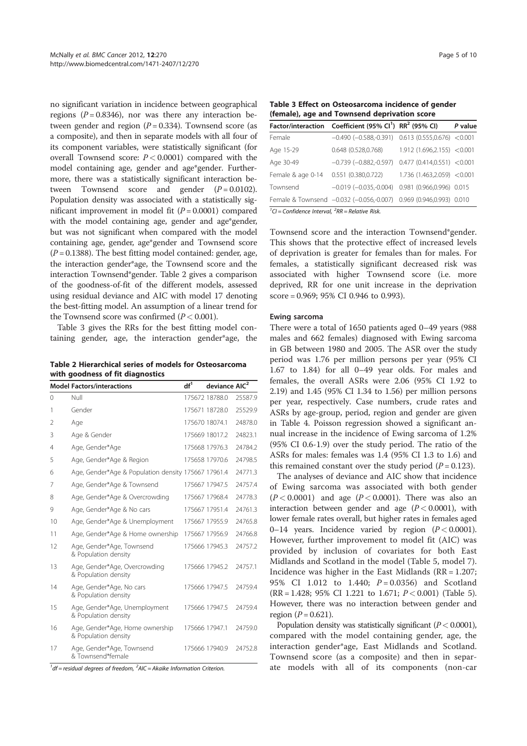no significant variation in incidence between geographical regions ( $P = 0.8346$ ), nor was there any interaction between gender and region  $(P = 0.334)$ . Townsend score (as a composite), and then in separate models with all four of its component variables, were statistically significant (for overall Townsend score:  $P < 0.0001$ ) compared with the model containing age, gender and age\*gender. Furthermore, there was a statistically significant interaction between Townsend score and gender  $(P = 0.0102)$ . Population density was associated with a statistically significant improvement in model fit  $(P = 0.0001)$  compared with the model containing age, gender and age\*gender, but was not significant when compared with the model containing age, gender, age\*gender and Townsend score  $(P = 0.1388)$ . The best fitting model contained: gender, age, the interaction gender\*age, the Townsend score and the interaction Townsend\*gender. Table 2 gives a comparison of the goodness-of-fit of the different models, assessed using residual deviance and AIC with model 17 denoting the best-fitting model. An assumption of a linear trend for the Townsend score was confirmed  $(P < 0.001)$ .

Table 3 gives the RRs for the best fitting model containing gender, age, the interaction gender\*age, the

Table 2 Hierarchical series of models for Osteosarcoma with goodness of fit diagnostics

|                | <b>Model Factors/interactions</b>                       | df <sup>1</sup> | deviance AIC <sup>2</sup> |         |
|----------------|---------------------------------------------------------|-----------------|---------------------------|---------|
| $\Omega$       | Null                                                    |                 | 175672 18788.0            | 25587.9 |
| 1              | Gender                                                  |                 | 175671 18728.0            | 25529.9 |
| $\overline{2}$ | Age                                                     |                 | 175670 18074.1            | 24878.0 |
| 3              | Age & Gender                                            |                 | 175669 18017.2            | 24823.1 |
| 4              | Age, Gender*Age                                         |                 | 175668 17976.3            | 24784.2 |
| 5              | Age, Gender*Age & Region                                |                 | 175658 17970.6            | 24798.5 |
| 6              | Age, Gender*Age & Population density 175667 17961.4     |                 |                           | 24771.3 |
| 7              | Age, Gender*Age & Townsend                              |                 | 175667 17947.5            | 24757.4 |
| 8              | Age, Gender*Age & Overcrowding                          |                 | 175667 17968.4            | 24778.3 |
| 9              | Age, Gender*Age & No cars                               |                 | 175667 17951.4            | 24761.3 |
| 10             | Age, Gender*Age & Unemployment                          |                 | 175667 17955.9            | 24765.8 |
| 11             | Age, Gender*Age & Home ownership                        |                 | 175667 17956.9            | 24766.8 |
| 12             | Age, Gender*Age, Townsend<br>& Population density       |                 | 175666 17945.3            | 24757.2 |
| 13             | Age, Gender*Age, Overcrowding<br>& Population density   |                 | 175666 17945.2            | 24757.1 |
| 14             | Age, Gender*Age, No cars<br>& Population density        |                 | 175666 17947.5            | 24759.4 |
| 15             | Age, Gender*Age, Unemployment<br>& Population density   |                 | 175666 17947.5            | 24759.4 |
| 16             | Age, Gender*Age, Home ownership<br>& Population density |                 | 175666 17947.1            | 24759.0 |
| 17             | Age, Gender*Age, Townsend<br>& Townsend*female          |                 | 175666 17940.9            | 24752.8 |

 $1/df$  = residual degrees of freedom,  $2$ AIC = Akaike Information Criterion.

Table 3 Effect on Osteosarcoma incidence of gender (female), age and Townsend deprivation score

|                                                                                                                                                                                                                                                                                                                                                                | Factor/interaction Coefficient (95% Cl <sup>1</sup> ) RR <sup>2</sup> (95% Cl) |                                 | P value |
|----------------------------------------------------------------------------------------------------------------------------------------------------------------------------------------------------------------------------------------------------------------------------------------------------------------------------------------------------------------|--------------------------------------------------------------------------------|---------------------------------|---------|
| Female                                                                                                                                                                                                                                                                                                                                                         | $-0.490$ ( $-0.588, -0.391$ ) 0.613 (0.555,0.676) <0.001                       |                                 |         |
| Age 15-29                                                                                                                                                                                                                                                                                                                                                      | 0.648 (0.528,0.768)                                                            | 1.912(1.696, 2.155) < 0.001     |         |
| Age 30-49                                                                                                                                                                                                                                                                                                                                                      | $-0.739$ $(-0.882,-0.597)$                                                     | $0.477$ $(0.414, 0.551)$ <0.001 |         |
| Female & age 0-14                                                                                                                                                                                                                                                                                                                                              | 0.551 (0.380,0.722)                                                            | 1.736 (1.463,2.059) < 0.001     |         |
| Townsend                                                                                                                                                                                                                                                                                                                                                       | $-0.019(-0.035,-0.004)$                                                        | 0.981 (0.966,0.996) 0.015       |         |
|                                                                                                                                                                                                                                                                                                                                                                | Female & Townsend -0.032 (-0.056,-0.007) 0.969 (0.946,0.993) 0.010             |                                 |         |
| $1\sigma_1$ $\sigma_2$ $\sigma_3$ $\sigma_4$ $\sigma_5$ $\sigma_6$ $\sigma_7$ $\sigma_8$ $\sigma_7$ $\sigma_8$ $\sigma_9$ $\sigma_9$ $\sigma_8$ $\sigma_9$ $\sigma_8$ $\sigma_9$ $\sigma_9$ $\sigma_8$ $\sigma_9$ $\sigma_9$ $\sigma_8$ $\sigma_8$ $\sigma_8$ $\sigma_8$ $\sigma_8$ $\sigma_8$ $\sigma_8$ $\sigma_8$ $\sigma_8$ $\sigma_8$ $\sigma_8$ $\sigma$ |                                                                                |                                 |         |

 ${}^{1}$ CI = Confidence Interval,  ${}^{2}RR$  = Relative Risk.

Townsend score and the interaction Townsend\*gender. This shows that the protective effect of increased levels of deprivation is greater for females than for males. For females, a statistically significant decreased risk was associated with higher Townsend score (i.e. more deprived, RR for one unit increase in the deprivation score = 0.969; 95% CI 0.946 to 0.993).

#### Ewing sarcoma

There were a total of 1650 patients aged 0–49 years (988 males and 662 females) diagnosed with Ewing sarcoma in GB between 1980 and 2005. The ASR over the study period was 1.76 per million persons per year (95% CI 1.67 to 1.84) for all 0–49 year olds. For males and females, the overall ASRs were 2.06 (95% CI 1.92 to 2.19) and 1.45 (95% CI 1.34 to 1.56) per million persons per year, respectively. Case numbers, crude rates and ASRs by age-group, period, region and gender are given in Table 4. Poisson regression showed a significant annual increase in the incidence of Ewing sarcoma of 1.2% (95% CI 0.6-1.9) over the study period. The ratio of the ASRs for males: females was 1.4 (95% CI 1.3 to 1.6) and this remained constant over the study period  $(P = 0.123)$ .

The analyses of deviance and AIC show that incidence of Ewing sarcoma was associated with both gender  $(P < 0.0001)$  and age  $(P < 0.0001)$ . There was also an interaction between gender and age  $(P < 0.0001)$ , with lower female rates overall, but higher rates in females aged 0–14 years. Incidence varied by region  $(P < 0.0001)$ . However, further improvement to model fit (AIC) was provided by inclusion of covariates for both East Midlands and Scotland in the model (Table 5, model 7). Incidence was higher in the East Midlands (RR = 1.207; 95% CI 1.012 to 1.440;  $P = 0.0356$  and Scotland  $(RR = 1.428; 95\% \text{ CI } 1.221 \text{ to } 1.671; P < 0.001)$  (Table 5). However, there was no interaction between gender and region ( $P = 0.621$ ).

Population density was statistically significant  $(P < 0.0001)$ , compared with the model containing gender, age, the interaction gender\*age, East Midlands and Scotland. Townsend score (as a composite) and then in separate models with all of its components (non-car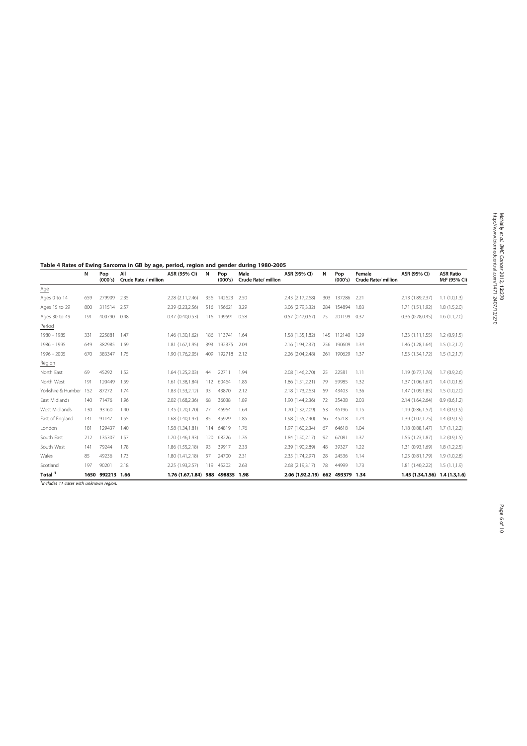Table 4 Rates of Ewing Sarcoma in GB by age, period, region and gender during 1980-2005

|                    | N   | Pop<br>(000's)   | All<br>Crude Rate / million | ASR (95% CI)     | Ν   | Pop<br>(000's)  | Male<br>Crude Rate/ million | ASR (95% CI)                     | N   | Pop<br>(000's) | Female<br>Crude Rate/ million | ASR (95% CI)                     | <b>ASR Ratio</b><br>M:F (95% CI) |
|--------------------|-----|------------------|-----------------------------|------------------|-----|-----------------|-----------------------------|----------------------------------|-----|----------------|-------------------------------|----------------------------------|----------------------------------|
| Age                |     |                  |                             |                  |     |                 |                             |                                  |     |                |                               |                                  |                                  |
| Ages 0 to 14       | 659 | 279909           | 2.35                        | 2.28 (2.11,2.46) | 356 | 142623          | 2.50                        | 2.43 (2.17,2.68)                 | 303 | 137286         | 2.21                          | 2.13 (1.89,2.37)                 | 1.1(1.0, 1.3)                    |
| Ages 15 to 29      | 800 | 311514           | 2.57                        | 2.39 (2.23,2.56) | 516 | 156621          | 3.29                        | 3.06 (2.79,3.32)                 | 284 | 154894         | 1.83                          | 1.71 (1.51,1.92)                 | 1.8(1.5,2.0)                     |
| Ages 30 to 49      | 191 | 400790           | 0.48                        | 0.47(0.40, 0.53) |     | 116 199591      | 0.58                        | 0.57(0.47,0.67)                  | 75  | 201199         | 0.37                          | 0.36(0.28, 0.45)                 | 1.6(1.1,2.0)                     |
| Period             |     |                  |                             |                  |     |                 |                             |                                  |     |                |                               |                                  |                                  |
| 1980 - 1985        | 331 | 225881           | 1.47                        | 1.46 (1.30.1.62) | 186 | 113741          | 1.64                        | 1.58 (1.35,1.82)                 | 145 | 112140         | 1.29                          | 1.33 (1.11.1.55)                 | 1.2(0.9, 1.5)                    |
| 1986 - 1995        | 649 | 382985           | 1.69                        | 1.81 (1.67.1.95) | 393 | 192375          | 2.04                        | 2.16 (1.94,2.37)                 | 256 | 190609         | 1.34                          | 1.46 (1.28,1.64)                 | 1.5(1.2,1.7)                     |
| 1996 - 2005        | 670 | 383347           | 1.75                        | 1.90 (1.76,2.05) | 409 | 192718          | 2.12                        | 2.26 (2.04,2.48)                 | 261 | 190629         | 1.37                          | 1.53 (1.34,1.72)                 | 1.5(1.2,1.7)                     |
| Region             |     |                  |                             |                  |     |                 |                             |                                  |     |                |                               |                                  |                                  |
| North East         | 69  | 45292            | 1.52                        | 1.64 (1.25,2.03) | 44  | 22711           | 1.94                        | 2.08 (1.46,2.70)                 | 25  | 22581          | 1.11                          | 1.19 (0.77,1.76)                 | 1.7(0.9, 2.6)                    |
| North West         | 191 | 120449           | 1.59                        | 1.61 (1.38,1.84) | 112 | 60464           | 1.85                        | 1.86 (1.51,2.21)                 | 79  | 59985          | 1.32                          | 1.37 (1.06,1.67)                 | 1.4(1.0, 1.8)                    |
| Yorkshire & Humber | 152 | 87272            | 1.74                        | 1.83 (1.53,2.12) | 93  | 43870           | 2.12                        | 2.18 (1.73,2.63)                 | 59  | 43403          | 1.36                          | 1.47 (1.09,1.85)                 | 1.5(1.0, 2.0)                    |
| East Midlands      | 140 | 71476            | 1.96                        | 2.02 (1.68,2.36) | 68  | 36038           | 1.89                        | 1.90 (1.44,2.36)                 | 72  | 35438          | 2.03                          | 2.14 (1.64,2.64)                 | 0.9(0.6, 1.2)                    |
| West Midlands      | 130 | 93160            | 1.40                        | 1.45 (1.20,1.70) | 77  | 46964           | 1.64                        | 1.70 (1.32,2.09)                 | 53  | 46196          | 1.15                          | 1.19 (0.86,1.52)                 | 1.4(0.9,1.9)                     |
| East of England    | 141 | 91147            | 1.55                        | 1.68 (1.40,1.97) | 85  | 45929           | 1.85                        | 1.98 (1.55,2.40)                 | 56  | 45218          | 1.24                          | 1.39 (1.02,1.75)                 | 1.4(0.9,1.9)                     |
| London             | 181 | 129437           | 1.40                        | 1.58 (1.34,1.81) |     | 114 64819       | 1.76                        | 1.97 (1.60,2.34)                 | 67  | 64618          | 1.04                          | 1.18 (0.88,1.47)                 | 1.7(1.1,2.2)                     |
| South East         | 212 | 135307           | 1.57                        | 1.70 (1.46,1.93) |     | 120 68226       | 1.76                        | 1.84 (1.50,2.17)                 | 92  | 67081          | 1.37                          | 1.55 (1.23,1.87)                 | 1.2(0.9,1.5)                     |
| South West         | 141 | 79244            | 1.78                        | 1.86 (1.55,2.18) | 93  | 39917           | 2.33                        | 2.39 (1.90,2.89)                 | 48  | 39327          | 1.22                          | 1.31 (0.93,1.69)                 | 1.8(1.2,2.5)                     |
| Wales              | 85  | 49236            | 1.73                        | 1.80 (1.41,2.18) | 57  | 24700           | 2.31                        | 2.35 (1.74,2.97)                 | 28  | 24536          | 1.14                          | 1.23 (0.81,1.79)                 | 1.9(1.0, 2.8)                    |
| Scotland           | 197 | 90201            | 2.18                        | 2.25 (1.93,2.57) |     | 119 45202       | 2.63                        | 2.68 (2.19,3.17)                 | 78  | 44999          | 1.73                          | 1.81 (1.40,2.22)                 | 1.5(1.1,1.9)                     |
| Total <sup>1</sup> |     | 1650 992213 1.66 |                             | 1.76 (1.67,1.84) |     | 988 498835 1.98 |                             | 2.06 (1.92,2.19) 662 493379 1.34 |     |                |                               | 1.45 (1.34, 1.56) 1.4 (1.3, 1.6) |                                  |

<sup>1</sup>Includes 11 cases with unknown region.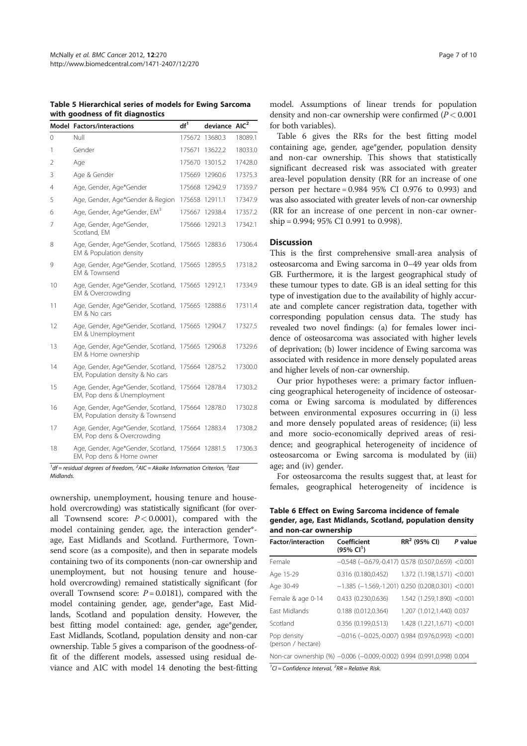Table 5 Hierarchical series of models for Ewing Sarcoma with goodness of fit diagnostics

|          | <b>Model Factors/interactions</b>                                                | df <sup>1</sup> | deviance AIC <sup>2</sup> |         |
|----------|----------------------------------------------------------------------------------|-----------------|---------------------------|---------|
| $\Omega$ | Null                                                                             | 175672          | 13680.3                   | 18089.1 |
| 1        | Gender                                                                           | 175671          | 13622.2                   | 18033.0 |
| 2        | Age                                                                              |                 | 175670 13015.2            | 17428.0 |
| 3        | Age & Gender                                                                     | 175669          | 12960.6                   | 17375.3 |
| 4        | Age, Gender, Age*Gender                                                          | 175668          | 12942.9                   | 17359.7 |
| 5        | Age, Gender, Age*Gender & Region                                                 | 175658          | 12911.1                   | 17347.9 |
| 6        | Age, Gender, Age*Gender, EM <sup>3</sup>                                         | 175667          | 12938.4                   | 17357.2 |
| 7        | Age, Gender, Age*Gender,<br>Scotland, EM                                         |                 | 175666 12921.3            | 17342.1 |
| 8        | Age, Gender, Age*Gender, Scotland, 175665 12883.6<br>EM & Population density     |                 |                           | 17306.4 |
| 9        | Age, Gender, Age*Gender, Scotland, 175665 12895.5<br>EM & Townsend               |                 |                           | 17318.2 |
| 10       | Age, Gender, Age*Gender, Scotland, 175665 12912.1<br>EM & Overcrowding           |                 |                           | 17334.9 |
| 11       | Age, Gender, Age*Gender, Scotland, 175665 12888.6<br>FM & No cars                |                 |                           | 17311.4 |
| 12       | Age, Gender, Age*Gender, Scotland, 175665 12904.7<br>EM & Unemployment           |                 |                           | 17327.5 |
| 13       | Age, Gender, Age*Gender, Scotland, 175665 12906.8<br>EM & Home ownership         |                 |                           | 17329.6 |
| 14       | Age, Gender, Age*Gender, Scotland,<br>EM, Population density & No cars           |                 | 175664 12875.2            | 17300.0 |
| 15       | Age, Gender, Age*Gender, Scotland, 175664 12878.4<br>EM, Pop dens & Unemployment |                 |                           | 17303.2 |
| 16       | Age, Gender, Age*Gender, Scotland,<br>EM, Population density & Townsend          |                 | 175664 12878.0            | 17302.8 |
| 17       | Age, Gender, Age*Gender, Scotland, 175664 12883.4<br>EM, Pop dens & Overcrowding |                 |                           | 17308.2 |
| 18       | Age, Gender, Age*Gender, Scotland, 175664 12881.5<br>EM, Pop dens & Home owner   |                 |                           | 17306.3 |

 $1/df$  = residual degrees of freedom,  $2$ AIC = Akaike Information Criterion,  $3$  East **Midlands** 

ownership, unemployment, housing tenure and household overcrowding) was statistically significant (for overall Townsend score:  $P < 0.0001$ , compared with the model containing gender, age, the interaction gender\* age, East Midlands and Scotland. Furthermore, Townsend score (as a composite), and then in separate models containing two of its components (non-car ownership and unemployment, but not housing tenure and household overcrowding) remained statistically significant (for overall Townsend score:  $P = 0.0181$ , compared with the model containing gender, age, gender\*age, East Midlands, Scotland and population density. However, the best fitting model contained: age, gender, age\*gender, East Midlands, Scotland, population density and non-car ownership. Table 5 gives a comparison of the goodness-offit of the different models, assessed using residual deviance and AIC with model 14 denoting the best-fitting

model. Assumptions of linear trends for population density and non-car ownership were confirmed  $(P < 0.001)$ for both variables).

Table 6 gives the RRs for the best fitting model containing age, gender, age\*gender, population density and non-car ownership. This shows that statistically significant decreased risk was associated with greater area-level population density (RR for an increase of one person per hectare = 0.984 95% CI 0.976 to 0.993) and was also associated with greater levels of non-car ownership (RR for an increase of one percent in non-car ownership = 0.994; 95% CI 0.991 to 0.998).

#### Discussion

This is the first comprehensive small-area analysis of osteosarcoma and Ewing sarcoma in 0–49 year olds from GB. Furthermore, it is the largest geographical study of these tumour types to date. GB is an ideal setting for this type of investigation due to the availability of highly accurate and complete cancer registration data, together with corresponding population census data. The study has revealed two novel findings: (a) for females lower incidence of osteosarcoma was associated with higher levels of deprivation; (b) lower incidence of Ewing sarcoma was associated with residence in more densely populated areas and higher levels of non-car ownership.

Our prior hypotheses were: a primary factor influencing geographical heterogeneity of incidence of osteosarcoma or Ewing sarcoma is modulated by differences between environmental exposures occurring in (i) less and more densely populated areas of residence; (ii) less and more socio-economically deprived areas of residence; and geographical heterogeneity of incidence of osteosarcoma or Ewing sarcoma is modulated by (iii) age; and (iv) gender.

For osteosarcoma the results suggest that, at least for females, geographical heterogeneity of incidence is

Table 6 Effect on Ewing Sarcoma incidence of female gender, age, East Midlands, Scotland, population density and non-car ownership

| <b>Factor/interaction</b>         | Coefficient<br>(95% CI <sup>1</sup> )                                  | $RR2$ (95% CI)              | P value |
|-----------------------------------|------------------------------------------------------------------------|-----------------------------|---------|
| Female                            | $-0.548$ ( $-0.679, -0.417$ ) 0.578 (0.507,0.659) < 0.001              |                             |         |
| Age 15-29                         | 0.316 (0.180,0.452)                                                    | 1.372(1.198, 1.571) < 0.001 |         |
| Age 30-49                         | $-1.385$ (-1.569,-1.201) 0.250 (0.208,0.301) <0.001                    |                             |         |
| Female & age 0-14                 | 0.433 (0.230.0.636)                                                    | 1.542(1.259, 1.890) < 0.001 |         |
| <b>Fast Midlands</b>              | 0.188 (0.012,0.364)                                                    | 1.207 (1.012,1.440) 0.037   |         |
| Scotland                          | 0.356 (0.199,0.513)                                                    | 1.428(1.221, 1.671) < 0.001 |         |
| Pop density<br>(person / hectare) | $-0.016$ ( $-0.025, -0.007$ ) 0.984 (0.976,0.993) <0.001               |                             |         |
|                                   | Non-car ownership (%) -0.006 (-0.009,-0.002) 0.994 (0.991,0.998) 0.004 |                             |         |

 ${}^{1}$ CI = Confidence Interval,  ${}^{2}RR$  = Relative Risk.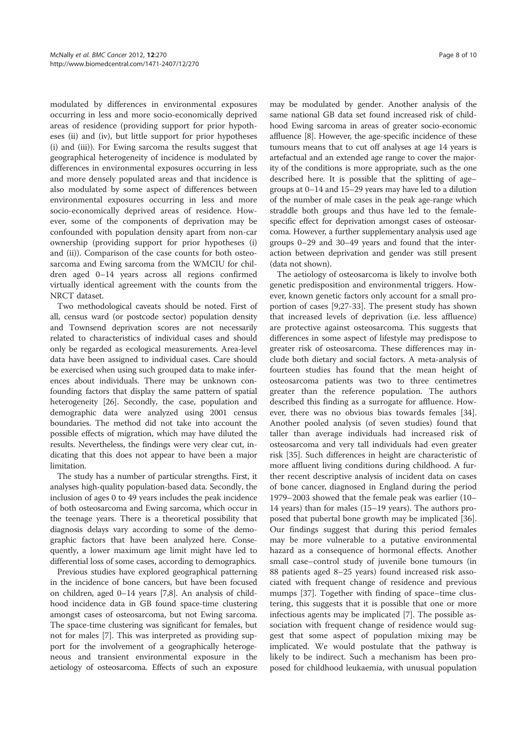modulated by differences in environmental exposures occurring in less and more socio-economically deprived areas of residence (providing support for prior hypotheses (ii) and (iv), but little support for prior hypotheses (i) and (iii)). For Ewing sarcoma the results suggest that geographical heterogeneity of incidence is modulated by differences in environmental exposures occurring in less and more densely populated areas and that incidence is also modulated by some aspect of differences between environmental exposures occurring in less and more socio-economically deprived areas of residence. However, some of the components of deprivation may be confounded with population density apart from non-car ownership (providing support for prior hypotheses (i) and (ii)). Comparison of the case counts for both osteosarcoma and Ewing sarcoma from the WMCIU for children aged 0–14 years across all regions confirmed virtually identical agreement with the counts from the NRCT dataset.

Two methodological caveats should be noted. First of all, census ward (or postcode sector) population density and Townsend deprivation scores are not necessarily related to characteristics of individual cases and should only be regarded as ecological measurements. Area-level data have been assigned to individual cases. Care should be exercised when using such grouped data to make inferences about individuals. There may be unknown confounding factors that display the same pattern of spatial heterogeneity [26]. Secondly, the case, population and demographic data were analyzed using 2001 census boundaries. The method did not take into account the possible effects of migration, which may have diluted the results. Nevertheless, the findings were very clear cut, indicating that this does not appear to have been a major limitation.

The study has a number of particular strengths. First, it analyses high-quality population-based data. Secondly, the inclusion of ages 0 to 49 years includes the peak incidence of both osteosarcoma and Ewing sarcoma, which occur in the teenage years. There is a theoretical possibility that diagnosis delays vary according to some of the demographic factors that have been analyzed here. Consequently, a lower maximum age limit might have led to differential loss of some cases, according to demographics.

Previous studies have explored geographical patterning in the incidence of bone cancers, but have been focused on children, aged 0–14 years [7,8]. An analysis of childhood incidence data in GB found space-time clustering amongst cases of osteosarcoma, but not Ewing sarcoma. The space-time clustering was significant for females, but not for males [7]. This was interpreted as providing support for the involvement of a geographically heterogeneous and transient environmental exposure in the aetiology of osteosarcoma. Effects of such an exposure may be modulated by gender. Another analysis of the same national GB data set found increased risk of childhood Ewing sarcoma in areas of greater socio-economic affluence [8]. However, the age-specific incidence of these tumours means that to cut off analyses at age 14 years is artefactual and an extended age range to cover the majority of the conditions is more appropriate, such as the one described here. It is possible that the splitting of age– groups at 0–14 and 15–29 years may have led to a dilution of the number of male cases in the peak age-range which straddle both groups and thus have led to the femalespecific effect for deprivation amongst cases of osteosarcoma. However, a further supplementary analysis used age groups 0–29 and 30–49 years and found that the interaction between deprivation and gender was still present (data not shown).

The aetiology of osteosarcoma is likely to involve both genetic predisposition and environmental triggers. However, known genetic factors only account for a small proportion of cases [9,27-33]. The present study has shown that increased levels of deprivation (i.e. less affluence) are protective against osteosarcoma. This suggests that differences in some aspect of lifestyle may predispose to greater risk of osteosarcoma. These differences may include both dietary and social factors. A meta-analysis of fourteen studies has found that the mean height of osteosarcoma patients was two to three centimetres greater than the reference population. The authors described this finding as a surrogate for affluence. However, there was no obvious bias towards females [34]. Another pooled analysis (of seven studies) found that taller than average individuals had increased risk of osteosarcoma and very tall individuals had even greater risk [35]. Such differences in height are characteristic of more affluent living conditions during childhood. A further recent descriptive analysis of incident data on cases of bone cancer, diagnosed in England during the period 1979–2003 showed that the female peak was earlier (10– 14 years) than for males (15–19 years). The authors proposed that pubertal bone growth may be implicated [36]. Our findings suggest that during this period females may be more vulnerable to a putative environmental hazard as a consequence of hormonal effects. Another small case–control study of juvenile bone tumours (in 88 patients aged 8–25 years) found increased risk associated with frequent change of residence and previous mumps [37]. Together with finding of space–time clustering, this suggests that it is possible that one or more infectious agents may be implicated [7]. The possible association with frequent change of residence would suggest that some aspect of population mixing may be implicated. We would postulate that the pathway is likely to be indirect. Such a mechanism has been proposed for childhood leukaemia, with unusual population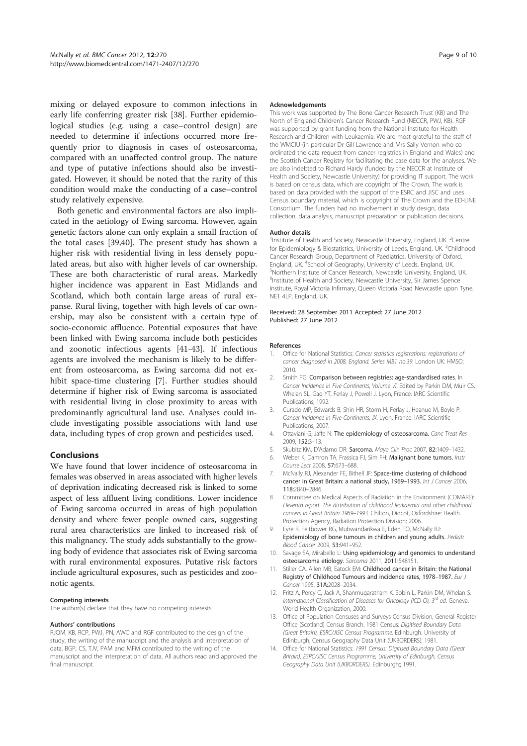mixing or delayed exposure to common infections in early life conferring greater risk [38]. Further epidemiological studies (e.g. using a case–control design) are needed to determine if infections occurred more frequently prior to diagnosis in cases of osteosarcoma, compared with an unaffected control group. The nature and type of putative infections should also be investigated. However, it should be noted that the rarity of this condition would make the conducting of a case–control study relatively expensive.

Both genetic and environmental factors are also implicated in the aetiology of Ewing sarcoma. However, again genetic factors alone can only explain a small fraction of the total cases [39,40]. The present study has shown a higher risk with residential living in less densely populated areas, but also with higher levels of car ownership. These are both characteristic of rural areas. Markedly higher incidence was apparent in East Midlands and Scotland, which both contain large areas of rural expanse. Rural living, together with high levels of car ownership, may also be consistent with a certain type of socio-economic affluence. Potential exposures that have been linked with Ewing sarcoma include both pesticides and zoonotic infectious agents [41-43]. If infectious agents are involved the mechanism is likely to be different from osteosarcoma, as Ewing sarcoma did not exhibit space-time clustering [7]. Further studies should determine if higher risk of Ewing sarcoma is associated with residential living in close proximity to areas with predominantly agricultural land use. Analyses could include investigating possible associations with land use data, including types of crop grown and pesticides used.

#### Conclusions

We have found that lower incidence of osteosarcoma in females was observed in areas associated with higher levels of deprivation indicating decreased risk is linked to some aspect of less affluent living conditions. Lower incidence of Ewing sarcoma occurred in areas of high population density and where fewer people owned cars, suggesting rural area characteristics are linked to increased risk of this malignancy. The study adds substantially to the growing body of evidence that associates risk of Ewing sarcoma with rural environmental exposures. Putative risk factors include agricultural exposures, such as pesticides and zoonotic agents.

#### Competing interests

The author(s) declare that they have no competing interests.

#### Authors' contributions

RJQM, KB, RCP, PWJ, PN, AWC and RGF contributed to the design of the study, the writing of the manuscript and the analysis and interpretation of data. BGP, CS, TJV, PAM and MFM contributed to the writing of the manuscript and the interpretation of data. All authors read and approved the final manuscript.

#### **Acknowledgements**

This work was supported by The Bone Cancer Research Trust (KB) and The North of England Children's Cancer Research Fund (NECCR, PWJ, KB). RGF was supported by grant funding from the National Institute for Health Research and Children with Leukaemia. We are most grateful to the staff of the WMCIU (in particular Dr Gill Lawrence and Mrs Sally Vernon who coordinated the data request from cancer registries in England and Wales) and the Scottish Cancer Registry for facilitating the case data for the analyses. We are also indebted to Richard Hardy (funded by the NECCR at Institute of Health and Society, Newcastle University) for providing IT support. The work is based on census data, which are copyright of The Crown. The work is based on data provided with the support of the ESRC and JISC and uses Census boundary material, which is copyright of The Crown and the ED-LINE Consortium. The funders had no involvement in study design, data collection, data analysis, manuscript preparation or publication decisions.

#### Author details

<sup>1</sup>Institute of Health and Society, Newcastle University, England, UK. <sup>2</sup>Centre for Epidemiology & Biostatistics, University of Leeds, England, UK. <sup>3</sup>Childhood Cancer Research Group, Department of Paediatrics, University of Oxford, England, UK. <sup>4</sup>School of Geography, University of Leeds, England, UK. <sup>5</sup>Northern Institute of Cancer Research, Newcastle University, England, UK. <sup>6</sup>Institute of Health and Society, Newcastle University, Sir James Spence Institute, Royal Victoria Infirmary, Queen Victoria Road Newcastle upon Tyne, NE1 4LP, England, UK.

Received: 28 September 2011 Accepted: 27 June 2012 Published: 27 June 2012

#### References

- 1. Office for National Statistics: *Cancer statistics registrations: registrations of cancer diagnosed in 2008, England. Series MB1 no.39*. London UK: HMSO; 2010.
- 2. Smith PG: Comparison between registries: age-standardised rates. In *Cancer Incidence in Five Continents, Volume VI*. Edited by Parkin DM, Muir CS, Whelan SL, Gao YT, Ferlay J, Powell J. Lyon, France: IARC Scientific Publications; 1992.
- 3. Curado MP, Edwards B, Shin HR, Storm H, Ferlay J, Heanue M, Boyle P: *Cancer Incidence in Five Continents, IX*. Lyon, France: IARC Scientific Publications; 2007.
- 4. Ottaviani G, Jaffe N: The epidemiology of osteosarcoma. *Canc Treat Res* 2009, 152:3–13.
- 5. Skubitz KM, D'Adamo DR: Sarcoma. *Mayo Clin Proc* 2007, 82:1409–1432.
- 6. Weber K, Damron TA, Frassica FJ, Sim FH: Malignant bone tumors. *Instr Course Lect* 2008, 57:673–688.
- 7. McNally RJ, Alexander FE, Bithell JF: Space-time clustering of childhood cancer in Great Britain: a national study, 1969–1993. *Int J Cancer* 2006, 118:2840–2846.
- 8. Committee on Medical Aspects of Radiation in the Environment (COMARE): *Eleventh report. The distribution of childhood leukaemia and other childhood cancers in Great Britain 1969*–*1993*. Chilton, Didcot, Oxfordshire: Health Protection Agency, Radiation Protection Division; 2006.
- 9. Eyre R, Feltbower RG, Mubwandarikwa E, Eden TO, McNally RJ: Epidemiology of bone tumours in children and young adults. *Pediatr Blood Cancer* 2009, 53:941–952.
- 10. Savage SA, Mirabello L: Using epidemiology and genomics to understand osteosarcoma etiology. *Sarcoma* 2011, 2011:548151.
- 11. Stiller CA, Allen MB, Eatock EM: Childhood cancer in Britain: the National Registry of Childhood Tumours and incidence rates, 1978–1987. *Eur J Cancer* 1995, 31A:2028–2034.
- 12. Fritz A, Percy C, Jack A, Shanmugaratnam K, Sobin L, Parkin DM, Whelan S: *International Classification of Diseases for Oncology (ICD-O), 3rd ed*. Geneva: World Health Organization; 2000.
- 13. Office of Population Censuses and Surveys Census Division, General Register Office (Scotland) Census Branch. 1981 Census: *Digitised Boundary Data (Great Britain), ESRC/JISC Census Programme,* Edinburgh: University of Edinburgh, Census Geography Data Unit (UKBORDERS); 1981.
- 14. Office for National Statistics: *1991 Census: Digitised Boundary Data (Great Britain), ESRC/JISC Census Programme, University of Edinburgh, Census Geography Data Unit (UKBORDERS)*. Edinburgh:; 1991.